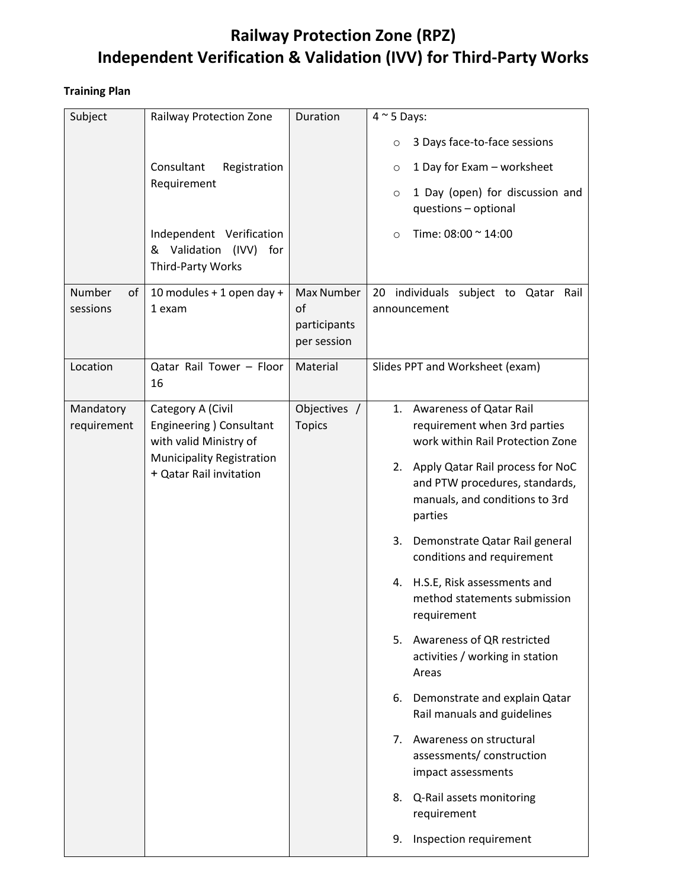### **Railway Protection Zone (RPZ) Independent Verification & Validation (IVV) for Third-Party Works**

### **Training Plan**

| Subject                  | <b>Railway Protection Zone</b>                                          | Duration                          | $4 \sim 5$ Days:                                                                                                      |  |
|--------------------------|-------------------------------------------------------------------------|-----------------------------------|-----------------------------------------------------------------------------------------------------------------------|--|
|                          |                                                                         |                                   | 3 Days face-to-face sessions<br>$\circ$                                                                               |  |
|                          | Consultant<br>Registration                                              |                                   | 1 Day for Exam - worksheet<br>$\circ$                                                                                 |  |
|                          | Requirement                                                             |                                   | 1 Day (open) for discussion and<br>$\circ$<br>questions - optional                                                    |  |
|                          | Independent Verification<br>& Validation (IVV) for<br>Third-Party Works |                                   | Time: 08:00 ~ 14:00<br>$\circ$                                                                                        |  |
| Number<br>of             | 10 modules + 1 open day +                                               | Max Number                        | individuals subject to Qatar Rail<br>20                                                                               |  |
| sessions                 | 1 exam                                                                  | of<br>participants<br>per session | announcement                                                                                                          |  |
| Location                 | Qatar Rail Tower - Floor<br>16                                          | Material                          | Slides PPT and Worksheet (exam)                                                                                       |  |
| Mandatory<br>requirement | Category A (Civil<br>Engineering ) Consultant<br>with valid Ministry of | Objectives /<br><b>Topics</b>     | 1. Awareness of Qatar Rail<br>requirement when 3rd parties<br>work within Rail Protection Zone                        |  |
|                          | <b>Municipality Registration</b><br>+ Qatar Rail invitation             |                                   | Apply Qatar Rail process for NoC<br>2.<br>and PTW procedures, standards,<br>manuals, and conditions to 3rd<br>parties |  |
|                          |                                                                         |                                   | Demonstrate Qatar Rail general<br>3.<br>conditions and requirement                                                    |  |
|                          |                                                                         |                                   | H.S.E, Risk assessments and<br>4.<br>method statements submission<br>requirement                                      |  |
|                          |                                                                         |                                   | 5. Awareness of QR restricted<br>activities / working in station<br>Areas                                             |  |
|                          |                                                                         |                                   | 6. Demonstrate and explain Qatar<br>Rail manuals and guidelines                                                       |  |
|                          |                                                                         |                                   | Awareness on structural<br>7.<br>assessments/construction<br>impact assessments                                       |  |
|                          |                                                                         |                                   | Q-Rail assets monitoring<br>8.<br>requirement                                                                         |  |
|                          |                                                                         |                                   | Inspection requirement<br>9.                                                                                          |  |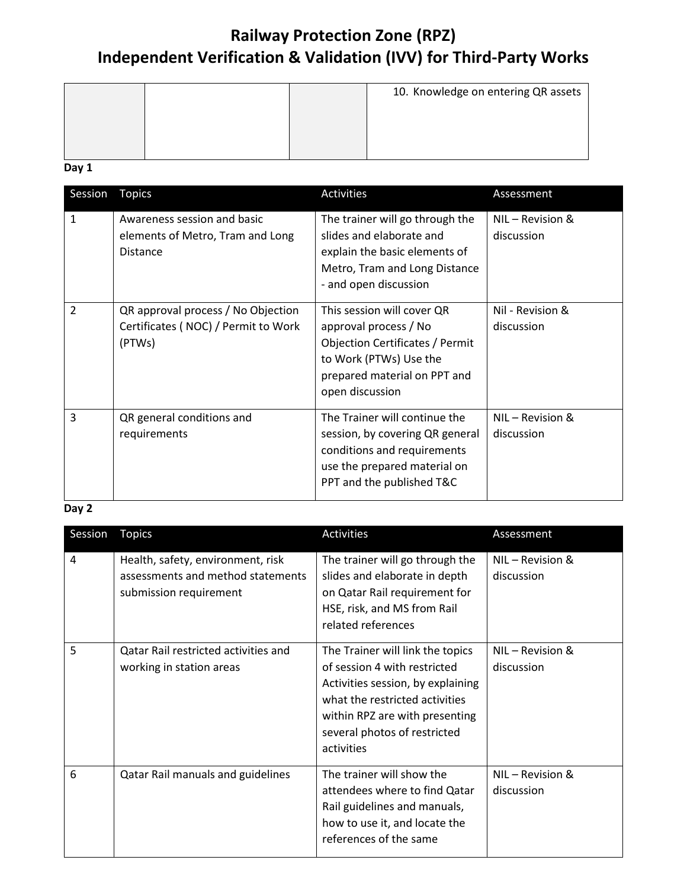# **Railway Protection Zone (RPZ) Independent Verification & Validation (IVV) for Third-Party Works**

|  | 10. Knowledge on entering QR assets |
|--|-------------------------------------|
|  |                                     |

**Day 1** 

| Session                  | <b>Topics</b>                                                                       | Activities                                                                                                                                                          | Assessment                       |
|--------------------------|-------------------------------------------------------------------------------------|---------------------------------------------------------------------------------------------------------------------------------------------------------------------|----------------------------------|
| $\mathbf{1}$             | Awareness session and basic<br>elements of Metro, Tram and Long<br><b>Distance</b>  | The trainer will go through the<br>slides and elaborate and<br>explain the basic elements of<br>Metro, Tram and Long Distance<br>- and open discussion              | $NIL - Revision &$<br>discussion |
| $\overline{\phantom{a}}$ | QR approval process / No Objection<br>Certificates (NOC) / Permit to Work<br>(PTWs) | This session will cover QR<br>approval process / No<br>Objection Certificates / Permit<br>to Work (PTWs) Use the<br>prepared material on PPT and<br>open discussion | Nil - Revision &<br>discussion   |
| 3                        | QR general conditions and<br>requirements                                           | The Trainer will continue the<br>session, by covering QR general<br>conditions and requirements<br>use the prepared material on<br>PPT and the published T&C        | NIL - Revision &<br>discussion   |

### **Day 2**

| Session | <b>Topics</b>                                                                                    | Activities                                                                                                                                                                                                              | Assessment                       |
|---------|--------------------------------------------------------------------------------------------------|-------------------------------------------------------------------------------------------------------------------------------------------------------------------------------------------------------------------------|----------------------------------|
| 4       | Health, safety, environment, risk<br>assessments and method statements<br>submission requirement | The trainer will go through the<br>slides and elaborate in depth<br>on Qatar Rail requirement for<br>HSE, risk, and MS from Rail<br>related references                                                                  | $NIL - Revision &$<br>discussion |
| 5       | Qatar Rail restricted activities and<br>working in station areas                                 | The Trainer will link the topics<br>of session 4 with restricted<br>Activities session, by explaining<br>what the restricted activities<br>within RPZ are with presenting<br>several photos of restricted<br>activities | NIL – Revision &<br>discussion   |
| 6       | Qatar Rail manuals and guidelines                                                                | The trainer will show the<br>attendees where to find Qatar<br>Rail guidelines and manuals,<br>how to use it, and locate the<br>references of the same                                                                   | $NIL - Revision &$<br>discussion |